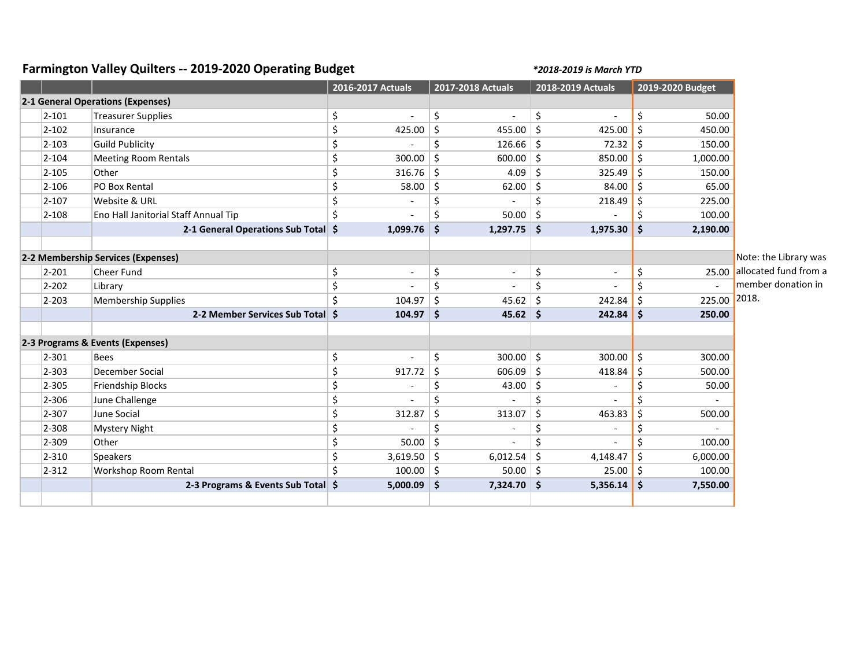## **Farmington Valley Quilters -- 2019-2020 Operating Budget** *\*2018-2019 is March YTD*

|                                    |                                      | 2016-2017 Actuals    | 2017-2018 Actuals                   | 2018-2019 Actuals    | 2019-2020 Budget |                             |
|------------------------------------|--------------------------------------|----------------------|-------------------------------------|----------------------|------------------|-----------------------------|
|                                    | 2-1 General Operations (Expenses)    |                      |                                     |                      |                  |                             |
| $2 - 101$                          | <b>Treasurer Supplies</b>            | \$<br>$\overline{a}$ | \$                                  | \$                   | \$<br>50.00      |                             |
| $2 - 102$                          | Insurance                            | \$<br>425.00         | $\zeta$<br>455.00                   | $\zeta$<br>425.00    | \$<br>450.00     |                             |
| $2 - 103$                          | <b>Guild Publicity</b>               | \$                   | $\zeta$<br>126.66                   | $\zeta$<br>72.32     | \$<br>150.00     |                             |
| $2 - 104$                          | <b>Meeting Room Rentals</b>          | \$<br>300.00         | $\zeta$<br>600.00                   | \$<br>850.00         | \$<br>1,000.00   |                             |
| $2 - 105$                          | Other                                | \$<br>316.76         | $\zeta$<br>4.09                     | \$<br>325.49         | \$<br>150.00     |                             |
| $2 - 106$                          | PO Box Rental                        | \$<br>58.00          | \$<br>62.00                         | \$<br>84.00          | \$<br>65.00      |                             |
| $2 - 107$                          | Website & URL                        | \$                   | \$                                  | \$<br>218.49         | 225.00<br>\$     |                             |
| $2 - 108$                          | Eno Hall Janitorial Staff Annual Tip | \$                   | \$<br>50.00                         | $\zeta$              | \$<br>100.00     |                             |
|                                    | 2-1 General Operations Sub Total \$  | 1,099.76             | $1,297.75$ \$<br>$\mathsf{\hat{S}}$ | 1,975.30             | \$<br>2,190.00   |                             |
|                                    |                                      |                      |                                     |                      |                  |                             |
| 2-2 Membership Services (Expenses) |                                      |                      |                                     |                      |                  | Note: the Library was       |
| $2 - 201$                          | <b>Cheer Fund</b>                    | \$<br>Ĭ.             | \$                                  | \$<br>$\blacksquare$ | \$               | 25.00 allocated fund from a |
| $2 - 202$                          | Library                              | \$                   | \$                                  | \$                   | \$               | member donation in          |
| $2 - 203$                          | Membership Supplies                  | \$<br>104.97         | \$<br>45.62                         | $\zeta$<br>242.84    | \$<br>225.00     | 2018.                       |
|                                    | 2-2 Member Services Sub Total \$     | 104.97               | $45.62$ \$<br>$\mathsf{S}$          | 242.84               | \$<br>250.00     |                             |
|                                    |                                      |                      |                                     |                      |                  |                             |
| 2-3 Programs & Events (Expenses)   |                                      |                      |                                     |                      |                  |                             |
| $2 - 301$                          | <b>Bees</b>                          | \$                   | \$<br>300.00                        | $\zeta$<br>300.00    | \$<br>300.00     |                             |
| $2 - 303$                          | December Social                      | \$<br>917.72         | \$<br>606.09                        | $\zeta$<br>418.84    | 500.00<br>\$     |                             |
| 2-305                              | Friendship Blocks                    | \$                   | \$<br>43.00                         | \$<br>$\blacksquare$ | \$<br>50.00      |                             |
| 2-306                              | June Challenge                       | \$                   | \$                                  | \$                   | Ś                |                             |
| 2-307                              | June Social                          | \$<br>312.87         | $\zeta$<br>313.07                   | \$<br>463.83         | \$<br>500.00     |                             |
| 2-308                              | <b>Mystery Night</b>                 | \$                   | Ś                                   | \$                   | \$               |                             |
| 2-309                              | Other                                | \$<br>50.00          | $\zeta$                             | \$                   | \$<br>100.00     |                             |
| $2 - 310$                          | <b>Speakers</b>                      | \$<br>3,619.50       | \$<br>6,012.54                      | \$<br>4,148.47       | \$<br>6,000.00   |                             |
| $2 - 312$                          | <b>Workshop Room Rental</b>          | Ś.<br>100.00         | $\zeta$<br>50.00                    | \$<br>25.00          | \$<br>100.00     |                             |
|                                    | 2-3 Programs & Events Sub Total \$   | 5,000.09             | -\$<br>$7,324.70$ \$                | 5,356.14             | \$<br>7,550.00   |                             |
|                                    |                                      |                      |                                     |                      |                  |                             |